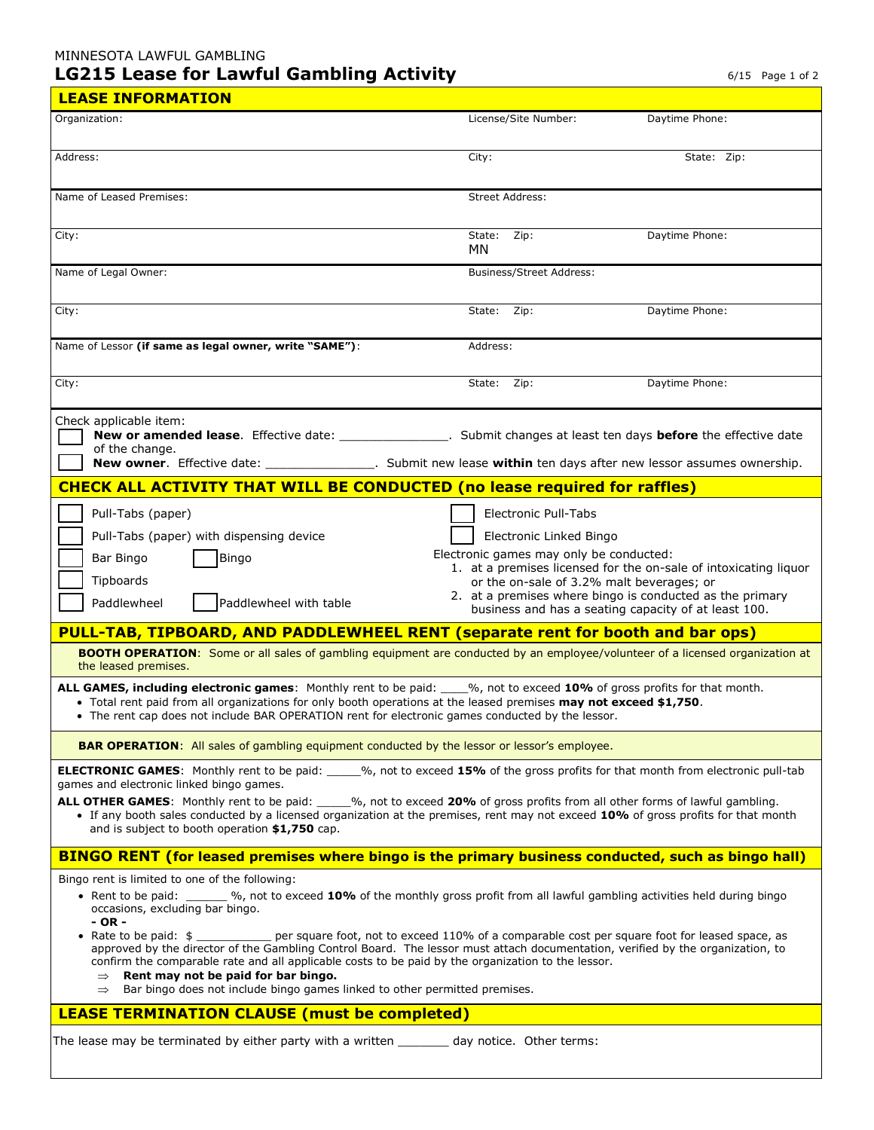## MINNESOTA LAWFUL GAMBLING **LG215 Lease for Lawful Gambling Activity**

 $\blacksquare$ 

|  | $6/15$ Page 1 of 2 |  |  |  |
|--|--------------------|--|--|--|
|--|--------------------|--|--|--|

| <b>LEASE INFORMATION</b>                                                                                                                                                                                                                                                                                                                                                                                                                                                                                                                                                                                                                                                                                                                                                                                                                                                                                                                                                                                                                                                                                                                                                                                                                                                                                                                                                                                                                                                                                                                                                                                                                                                   |                                 |                |  |  |  |  |  |
|----------------------------------------------------------------------------------------------------------------------------------------------------------------------------------------------------------------------------------------------------------------------------------------------------------------------------------------------------------------------------------------------------------------------------------------------------------------------------------------------------------------------------------------------------------------------------------------------------------------------------------------------------------------------------------------------------------------------------------------------------------------------------------------------------------------------------------------------------------------------------------------------------------------------------------------------------------------------------------------------------------------------------------------------------------------------------------------------------------------------------------------------------------------------------------------------------------------------------------------------------------------------------------------------------------------------------------------------------------------------------------------------------------------------------------------------------------------------------------------------------------------------------------------------------------------------------------------------------------------------------------------------------------------------------|---------------------------------|----------------|--|--|--|--|--|
| Organization:                                                                                                                                                                                                                                                                                                                                                                                                                                                                                                                                                                                                                                                                                                                                                                                                                                                                                                                                                                                                                                                                                                                                                                                                                                                                                                                                                                                                                                                                                                                                                                                                                                                              | License/Site Number:            | Daytime Phone: |  |  |  |  |  |
| Address:                                                                                                                                                                                                                                                                                                                                                                                                                                                                                                                                                                                                                                                                                                                                                                                                                                                                                                                                                                                                                                                                                                                                                                                                                                                                                                                                                                                                                                                                                                                                                                                                                                                                   | City:                           | State: Zip:    |  |  |  |  |  |
| Name of Leased Premises:                                                                                                                                                                                                                                                                                                                                                                                                                                                                                                                                                                                                                                                                                                                                                                                                                                                                                                                                                                                                                                                                                                                                                                                                                                                                                                                                                                                                                                                                                                                                                                                                                                                   | Street Address:                 |                |  |  |  |  |  |
| City:                                                                                                                                                                                                                                                                                                                                                                                                                                                                                                                                                                                                                                                                                                                                                                                                                                                                                                                                                                                                                                                                                                                                                                                                                                                                                                                                                                                                                                                                                                                                                                                                                                                                      | Zip:<br>State:<br>МN            | Daytime Phone: |  |  |  |  |  |
| Name of Legal Owner:                                                                                                                                                                                                                                                                                                                                                                                                                                                                                                                                                                                                                                                                                                                                                                                                                                                                                                                                                                                                                                                                                                                                                                                                                                                                                                                                                                                                                                                                                                                                                                                                                                                       | <b>Business/Street Address:</b> |                |  |  |  |  |  |
| City:                                                                                                                                                                                                                                                                                                                                                                                                                                                                                                                                                                                                                                                                                                                                                                                                                                                                                                                                                                                                                                                                                                                                                                                                                                                                                                                                                                                                                                                                                                                                                                                                                                                                      | State: Zip:                     | Daytime Phone: |  |  |  |  |  |
| Name of Lessor (if same as legal owner, write "SAME"):                                                                                                                                                                                                                                                                                                                                                                                                                                                                                                                                                                                                                                                                                                                                                                                                                                                                                                                                                                                                                                                                                                                                                                                                                                                                                                                                                                                                                                                                                                                                                                                                                     | Address:                        |                |  |  |  |  |  |
| City:                                                                                                                                                                                                                                                                                                                                                                                                                                                                                                                                                                                                                                                                                                                                                                                                                                                                                                                                                                                                                                                                                                                                                                                                                                                                                                                                                                                                                                                                                                                                                                                                                                                                      | State: Zip:                     | Daytime Phone: |  |  |  |  |  |
| Check applicable item:<br>New or amended lease. Effective date: _______________. Submit changes at least ten days before the effective date<br>of the change.<br>New owner. Effective date: ________________. Submit new lease within ten days after new lessor assumes ownership.                                                                                                                                                                                                                                                                                                                                                                                                                                                                                                                                                                                                                                                                                                                                                                                                                                                                                                                                                                                                                                                                                                                                                                                                                                                                                                                                                                                         |                                 |                |  |  |  |  |  |
| <b>CHECK ALL ACTIVITY THAT WILL BE CONDUCTED (no lease required for raffles)</b>                                                                                                                                                                                                                                                                                                                                                                                                                                                                                                                                                                                                                                                                                                                                                                                                                                                                                                                                                                                                                                                                                                                                                                                                                                                                                                                                                                                                                                                                                                                                                                                           |                                 |                |  |  |  |  |  |
| Pull-Tabs (paper)<br><b>Electronic Pull-Tabs</b><br>Pull-Tabs (paper) with dispensing device<br>Electronic Linked Bingo<br>Electronic games may only be conducted:<br>Bar Bingo<br><b>Bingo</b><br>1. at a premises licensed for the on-sale of intoxicating liquor<br>Tipboards<br>or the on-sale of 3.2% malt beverages; or<br>2. at a premises where bingo is conducted as the primary<br>Paddlewheel<br>Paddlewheel with table<br>business and has a seating capacity of at least 100.<br><b>PULL-TAB, TIPBOARD, AND PADDLEWHEEL RENT (separate rent for booth and bar ops)</b><br>BOOTH OPERATION: Some or all sales of gambling equipment are conducted by an employee/volunteer of a licensed organization at<br>the leased premises.<br>ALL GAMES, including electronic games: Monthly rent to be paid: ___%, not to exceed 10% of gross profits for that month.<br>. Total rent paid from all organizations for only booth operations at the leased premises may not exceed \$1,750.<br>• The rent cap does not include BAR OPERATION rent for electronic games conducted by the lessor.<br><b>BAR OPERATION:</b> All sales of gambling equipment conducted by the lessor or lessor's employee.<br>ELECTRONIC GAMES: Monthly rent to be paid: ____%, not to exceed 15% of the gross profits for that month from electronic pull-tab<br>games and electronic linked bingo games.<br>ALL OTHER GAMES: Monthly rent to be paid: $\frac{96}{100}$ , not to exceed 20% of gross profits from all other forms of lawful gambling.<br>• If any booth sales conducted by a licensed organization at the premises, rent may not exceed 10% of gross profits for that month |                                 |                |  |  |  |  |  |
| and is subject to booth operation \$1,750 cap.<br><b>BINGO RENT (for leased premises where bingo is the primary business conducted, such as bingo hall)</b>                                                                                                                                                                                                                                                                                                                                                                                                                                                                                                                                                                                                                                                                                                                                                                                                                                                                                                                                                                                                                                                                                                                                                                                                                                                                                                                                                                                                                                                                                                                |                                 |                |  |  |  |  |  |
| Bingo rent is limited to one of the following:<br>• Rent to be paid: 9%, not to exceed 10% of the monthly gross profit from all lawful gambling activities held during bingo<br>occasions, excluding bar bingo.<br>- OR -<br>• Rate to be paid: $$$<br>per square foot, not to exceed 110% of a comparable cost per square foot for leased space, as<br>approved by the director of the Gambling Control Board. The lessor must attach documentation, verified by the organization, to<br>confirm the comparable rate and all applicable costs to be paid by the organization to the lessor.<br>Rent may not be paid for bar bingo.<br>Bar bingo does not include bingo games linked to other permitted premises.<br>$\Rightarrow$<br><b>LEASE TERMINATION CLAUSE (must be completed)</b>                                                                                                                                                                                                                                                                                                                                                                                                                                                                                                                                                                                                                                                                                                                                                                                                                                                                                  |                                 |                |  |  |  |  |  |
| The lease may be terminated by either party with a written ________ day notice. Other terms:                                                                                                                                                                                                                                                                                                                                                                                                                                                                                                                                                                                                                                                                                                                                                                                                                                                                                                                                                                                                                                                                                                                                                                                                                                                                                                                                                                                                                                                                                                                                                                               |                                 |                |  |  |  |  |  |